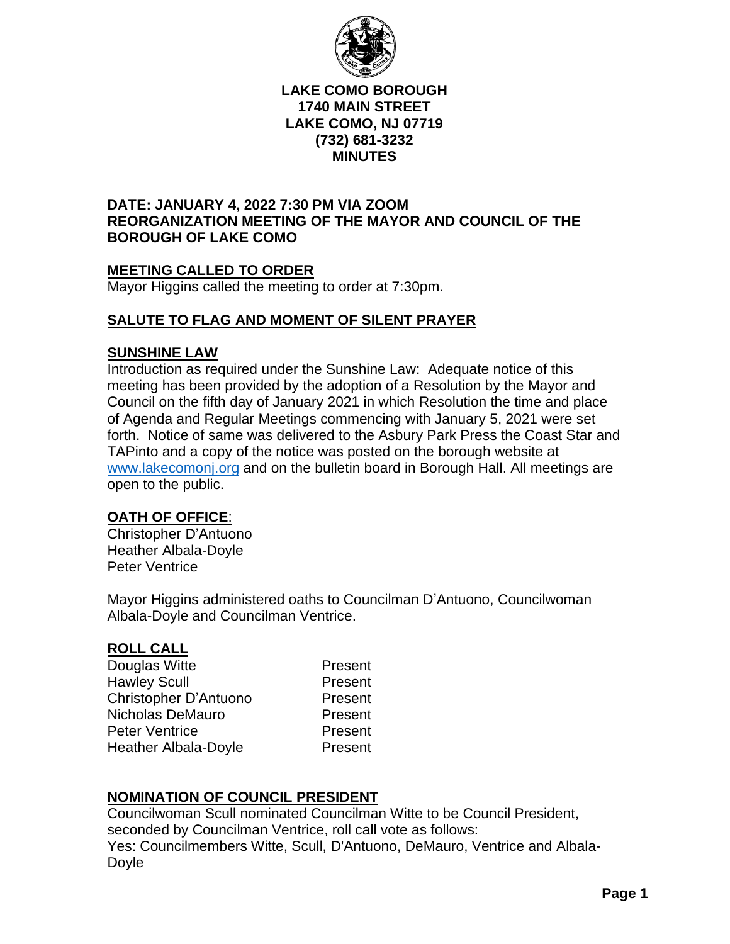

#### **LAKE COMO BOROUGH 1740 MAIN STREET LAKE COMO, NJ 07719 (732) 681-3232 MINUTES**

## **DATE: JANUARY 4, 2022 7:30 PM VIA ZOOM REORGANIZATION MEETING OF THE MAYOR AND COUNCIL OF THE BOROUGH OF LAKE COMO**

# **MEETING CALLED TO ORDER**

Mayor Higgins called the meeting to order at 7:30pm.

# **SALUTE TO FLAG AND MOMENT OF SILENT PRAYER**

#### **SUNSHINE LAW**

Introduction as required under the Sunshine Law: Adequate notice of this meeting has been provided by the adoption of a Resolution by the Mayor and Council on the fifth day of January 2021 in which Resolution the time and place of Agenda and Regular Meetings commencing with January 5, 2021 were set forth. Notice of same was delivered to the Asbury Park Press the Coast Star and TAPinto and a copy of the notice was posted on the borough website at [www.lakecomonj.org](http://www.lakecomonj.org/) and on the bulletin board in Borough Hall. All meetings are open to the public.

## **OATH OF OFFICE**:

Christopher D'Antuono Heather Albala-Doyle Peter Ventrice

Mayor Higgins administered oaths to Councilman D'Antuono, Councilwoman Albala-Doyle and Councilman Ventrice.

## **ROLL CALL**

| Douglas Witte         | Present |
|-----------------------|---------|
| <b>Hawley Scull</b>   | Present |
| Christopher D'Antuono | Present |
| Nicholas DeMauro      | Present |
| <b>Peter Ventrice</b> | Present |
| Heather Albala-Doyle  | Present |
|                       |         |

# **NOMINATION OF COUNCIL PRESIDENT**

Councilwoman Scull nominated Councilman Witte to be Council President, seconded by Councilman Ventrice, roll call vote as follows: Yes: Councilmembers Witte, Scull, D'Antuono, DeMauro, Ventrice and Albala-Doyle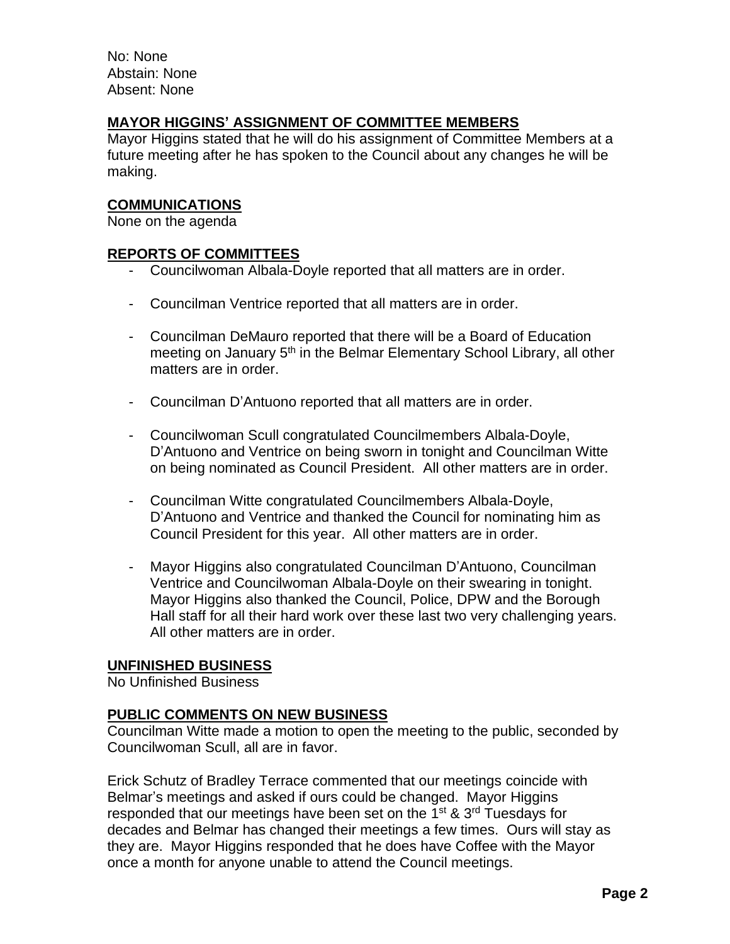No: None Abstain: None Absent: None

## **MAYOR HIGGINS' ASSIGNMENT OF COMMITTEE MEMBERS**

Mayor Higgins stated that he will do his assignment of Committee Members at a future meeting after he has spoken to the Council about any changes he will be making.

## **COMMUNICATIONS**

None on the agenda

## **REPORTS OF COMMITTEES**

- Councilwoman Albala-Doyle reported that all matters are in order.
- Councilman Ventrice reported that all matters are in order.
- Councilman DeMauro reported that there will be a Board of Education meeting on January 5<sup>th</sup> in the Belmar Elementary School Library, all other matters are in order.
- Councilman D'Antuono reported that all matters are in order.
- Councilwoman Scull congratulated Councilmembers Albala-Doyle, D'Antuono and Ventrice on being sworn in tonight and Councilman Witte on being nominated as Council President. All other matters are in order.
- Councilman Witte congratulated Councilmembers Albala-Doyle, D'Antuono and Ventrice and thanked the Council for nominating him as Council President for this year. All other matters are in order.
- Mayor Higgins also congratulated Councilman D'Antuono, Councilman Ventrice and Councilwoman Albala-Doyle on their swearing in tonight. Mayor Higgins also thanked the Council, Police, DPW and the Borough Hall staff for all their hard work over these last two very challenging years. All other matters are in order.

## **UNFINISHED BUSINESS**

No Unfinished Business

## **PUBLIC COMMENTS ON NEW BUSINESS**

Councilman Witte made a motion to open the meeting to the public, seconded by Councilwoman Scull, all are in favor.

Erick Schutz of Bradley Terrace commented that our meetings coincide with Belmar's meetings and asked if ours could be changed. Mayor Higgins responded that our meetings have been set on the 1<sup>st</sup> & 3<sup>rd</sup> Tuesdays for decades and Belmar has changed their meetings a few times. Ours will stay as they are. Mayor Higgins responded that he does have Coffee with the Mayor once a month for anyone unable to attend the Council meetings.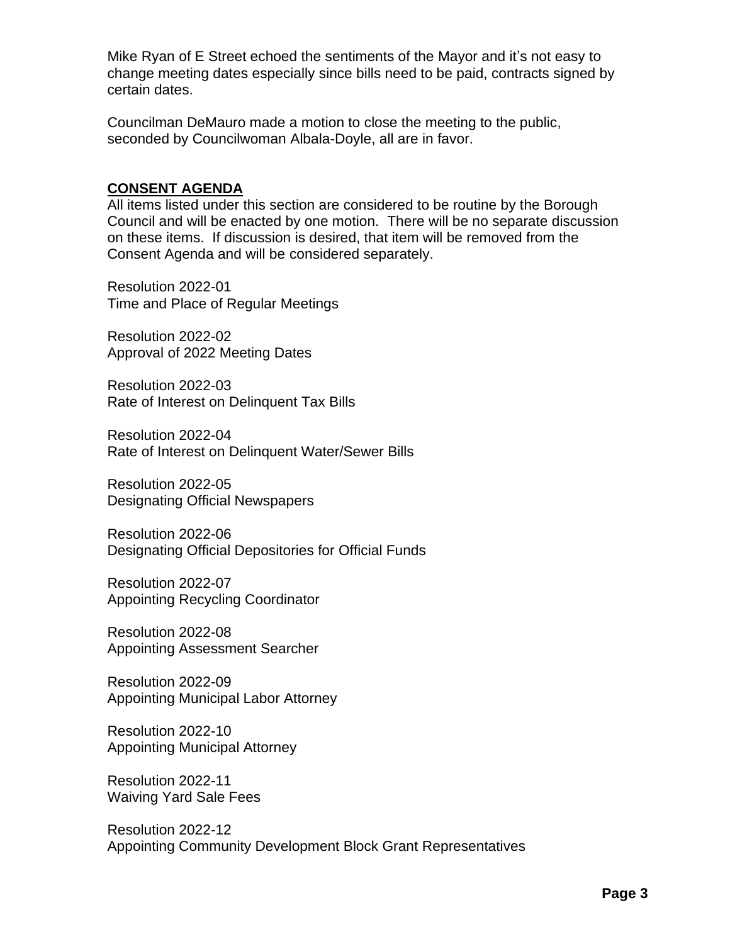Mike Ryan of E Street echoed the sentiments of the Mayor and it's not easy to change meeting dates especially since bills need to be paid, contracts signed by certain dates.

Councilman DeMauro made a motion to close the meeting to the public, seconded by Councilwoman Albala-Doyle, all are in favor.

## **CONSENT AGENDA**

All items listed under this section are considered to be routine by the Borough Council and will be enacted by one motion. There will be no separate discussion on these items. If discussion is desired, that item will be removed from the Consent Agenda and will be considered separately.

Resolution 2022-01 Time and Place of Regular Meetings

Resolution 2022-02 Approval of 2022 Meeting Dates

Resolution 2022-03 Rate of Interest on Delinquent Tax Bills

Resolution 2022-04 Rate of Interest on Delinquent Water/Sewer Bills

Resolution 2022-05 Designating Official Newspapers

Resolution 2022-06 Designating Official Depositories for Official Funds

Resolution 2022-07 Appointing Recycling Coordinator

Resolution 2022-08 Appointing Assessment Searcher

Resolution 2022-09 Appointing Municipal Labor Attorney

Resolution 2022-10 Appointing Municipal Attorney

Resolution 2022-11 Waiving Yard Sale Fees

Resolution 2022-12 Appointing Community Development Block Grant Representatives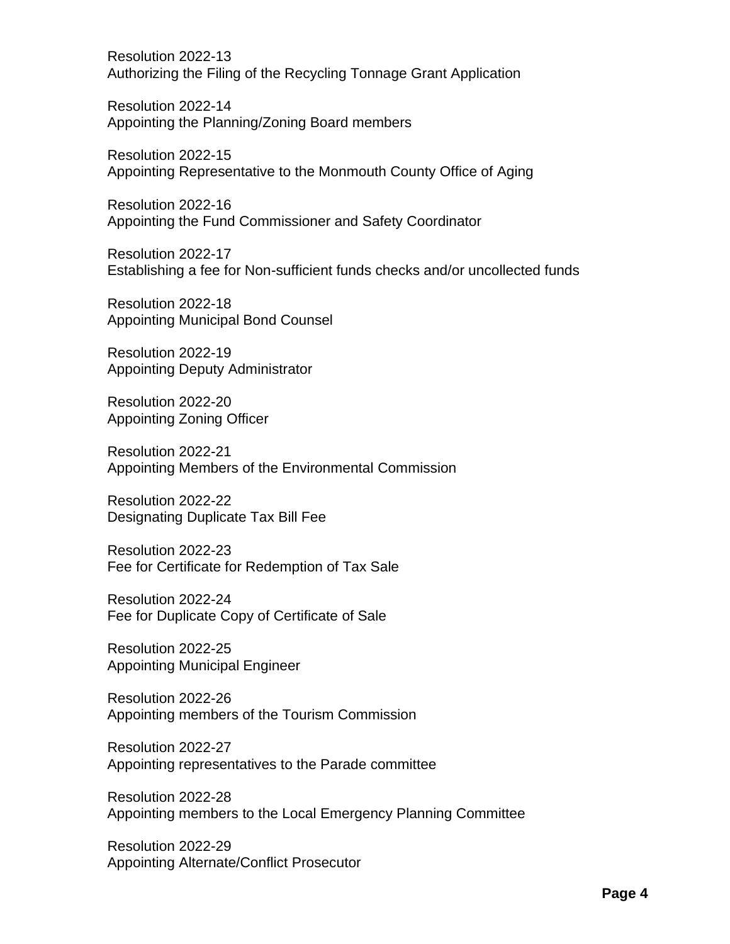Resolution 2022-13 Authorizing the Filing of the Recycling Tonnage Grant Application

Resolution 2022-14 Appointing the Planning/Zoning Board members

Resolution 2022-15 Appointing Representative to the Monmouth County Office of Aging

Resolution 2022-16 Appointing the Fund Commissioner and Safety Coordinator

Resolution 2022-17 Establishing a fee for Non-sufficient funds checks and/or uncollected funds

Resolution 2022-18 Appointing Municipal Bond Counsel

Resolution 2022-19 Appointing Deputy Administrator

Resolution 2022-20 Appointing Zoning Officer

Resolution 2022-21 Appointing Members of the Environmental Commission

Resolution 2022-22 Designating Duplicate Tax Bill Fee

Resolution 2022-23 Fee for Certificate for Redemption of Tax Sale

Resolution 2022-24 Fee for Duplicate Copy of Certificate of Sale

Resolution 2022-25 Appointing Municipal Engineer

Resolution 2022-26 Appointing members of the Tourism Commission

Resolution 2022-27 Appointing representatives to the Parade committee

Resolution 2022-28 Appointing members to the Local Emergency Planning Committee

Resolution 2022-29 Appointing Alternate/Conflict Prosecutor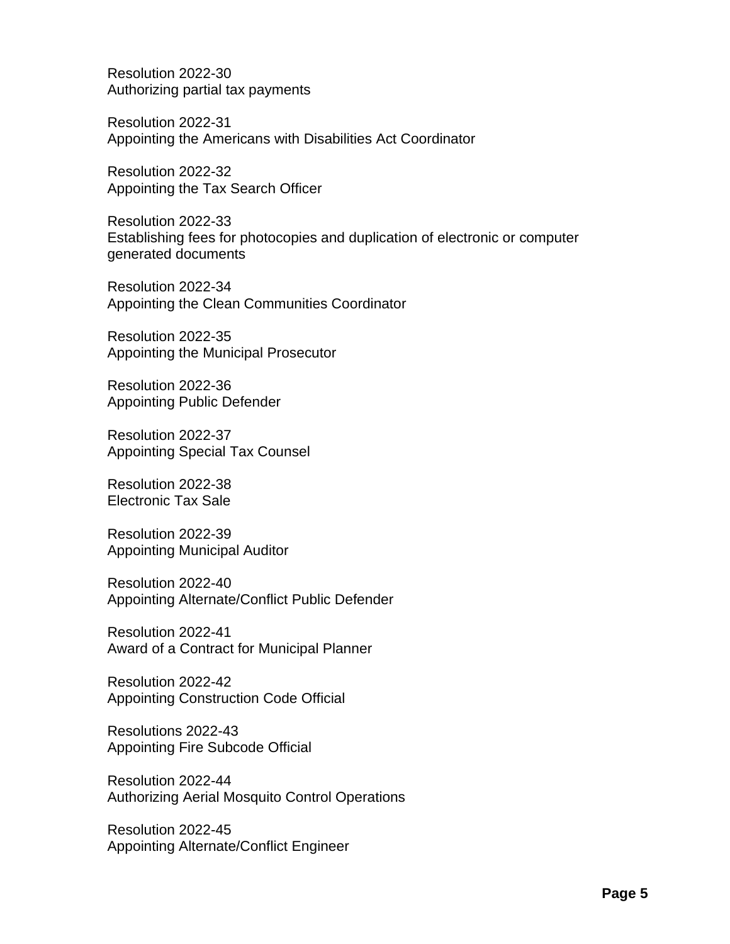Resolution 2022-30 Authorizing partial tax payments

Resolution 2022-31 Appointing the Americans with Disabilities Act Coordinator

Resolution 2022-32 Appointing the Tax Search Officer

Resolution 2022-33 Establishing fees for photocopies and duplication of electronic or computer generated documents

Resolution 2022-34 Appointing the Clean Communities Coordinator

Resolution 2022-35 Appointing the Municipal Prosecutor

Resolution 2022-36 Appointing Public Defender

Resolution 2022-37 Appointing Special Tax Counsel

Resolution 2022-38 Electronic Tax Sale

Resolution 2022-39 Appointing Municipal Auditor

Resolution 2022-40 Appointing Alternate/Conflict Public Defender

Resolution 2022-41 Award of a Contract for Municipal Planner

Resolution 2022-42 Appointing Construction Code Official

Resolutions 2022-43 Appointing Fire Subcode Official

Resolution 2022-44 Authorizing Aerial Mosquito Control Operations

Resolution 2022-45 Appointing Alternate/Conflict Engineer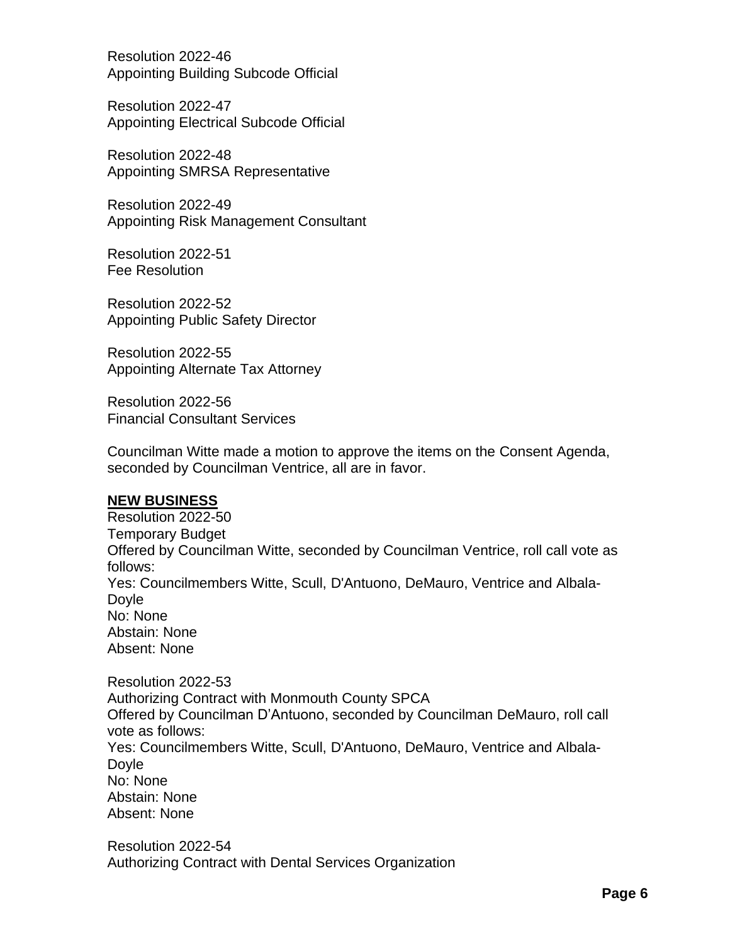Resolution 2022-46 Appointing Building Subcode Official

Resolution 2022-47 Appointing Electrical Subcode Official

Resolution 2022-48 Appointing SMRSA Representative

Resolution 2022-49 Appointing Risk Management Consultant

Resolution 2022-51 Fee Resolution

Resolution 2022-52 Appointing Public Safety Director

Resolution 2022-55 Appointing Alternate Tax Attorney

Resolution 2022-56 Financial Consultant Services

Councilman Witte made a motion to approve the items on the Consent Agenda, seconded by Councilman Ventrice, all are in favor.

## **NEW BUSINESS**

Resolution 2022-50 Temporary Budget Offered by Councilman Witte, seconded by Councilman Ventrice, roll call vote as follows: Yes: Councilmembers Witte, Scull, D'Antuono, DeMauro, Ventrice and Albala-Doyle No: None Abstain: None Absent: None

Resolution 2022-53 Authorizing Contract with Monmouth County SPCA Offered by Councilman D'Antuono, seconded by Councilman DeMauro, roll call vote as follows: Yes: Councilmembers Witte, Scull, D'Antuono, DeMauro, Ventrice and Albala-**Dovle** No: None Abstain: None Absent: None

Resolution 2022-54 Authorizing Contract with Dental Services Organization